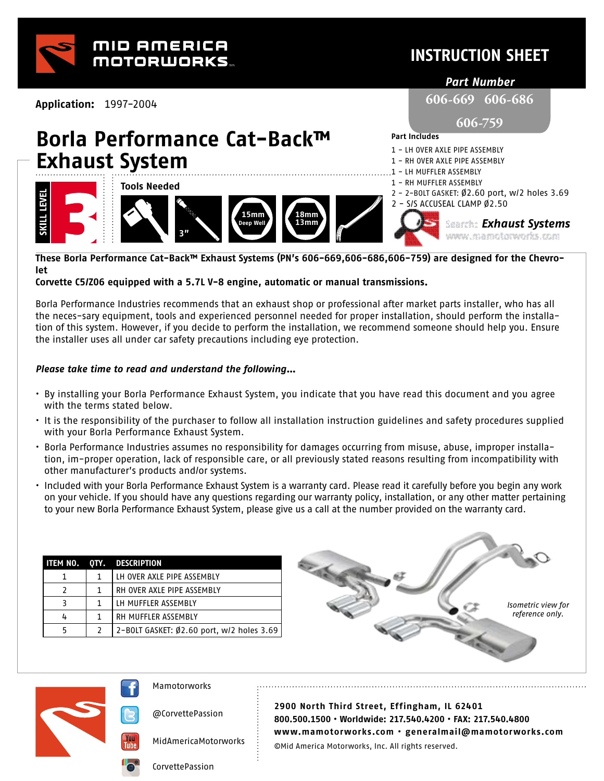

### **INSTRUCTION SHEET**

*Part Number*

**606-669 606-686** 

**606-759**

**Part Includes** 

1 - LH OVER AXLE PIPE ASSEMBLY 1 - RH OVER AXLE PIPE ASSEMBLY - LH MUFFLER ASSEMBLY

*Exhaust Systems*

www.mamotonworks.com

**Application:** 1997-2004

# **Borla Performance Cat-Back™ Exhaust System**



**These Borla Performance Cat-Back™ Exhaust Systems (PN's 606-669,606-686,606-759) are designed for the Chevrolet** 

#### **Corvette C5/Z06 equipped with a 5.7L V-8 engine, automatic or manual transmissions.**

Borla Performance Industries recommends that an exhaust shop or professional after market parts installer, who has all the neces-sary equipment, tools and experienced personnel needed for proper installation, should perform the installation of this system. However, if you decide to perform the installation, we recommend someone should help you. Ensure the installer uses all under car safety precautions including eye protection.

#### *Please take time to read and understand the following…*

- By installing your Borla Performance Exhaust System, you indicate that you have read this document and you agree with the terms stated below.
- It is the responsibility of the purchaser to follow all installation instruction guidelines and safety procedures supplied with your Borla Performance Exhaust System.
- Borla Performance Industries assumes no responsibility for damages occurring from misuse, abuse, improper installation, im-proper operation, lack of responsible care, or all previously stated reasons resulting from incompatibility with other manufacturer's products and/or systems.
- Included with your Borla Performance Exhaust System is a warranty card. Please read it carefully before you begin any work on your vehicle. If you should have any questions regarding our warranty policy, installation, or any other matter pertaining to your new Borla Performance Exhaust System, please give us a call at the number provided on the warranty card.

|  | ITEM NO. OTY. DESCRIPTION                 |
|--|-------------------------------------------|
|  | LH OVER AXLE PIPE ASSEMBLY                |
|  | RH OVER AXLE PIPE ASSEMBLY                |
|  | LH MUFFLER ASSEMBLY                       |
|  | RH MUFFLER ASSEMBLY                       |
|  | 2-BOLT GASKET: Ø2.60 port, w/2 holes 3.69 |





@CorvettePassion

MidAmericaMotorworks

**2900 North Third Street, Effingham, IL 62401 800.500.1500 • Worldwide: 217.540.4200 • FAX: 217.540.4800 www.mamotorworks.com • generalmail@mamotorworks.com** ©Mid America Motorworks, Inc. All rights reserved.

CorvettePassion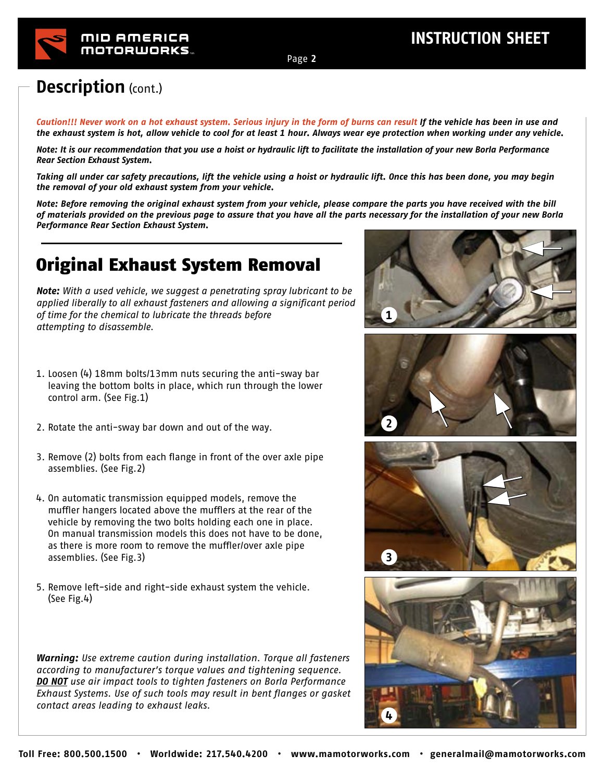### **Description** (cont.)

*Caution!!! Never work on a hot exhaust system. Serious injury in the form of burns can result If the vehicle has been in use and the exhaust system is hot, allow vehicle to cool for at least 1 hour. Always wear eye protection when working under any vehicle.* 

*Note: It is our recommendation that you use a hoist or hydraulic lift to facilitate the installation of your new Borla Performance Rear Section Exhaust System.* 

*Taking all under car safety precautions, lift the vehicle using a hoist or hydraulic lift. Once this has been done, you may begin the removal of your old exhaust system from your vehicle.* 

*Note: Before removing the original exhaust system from your vehicle, please compare the parts you have received with the bill of materials provided on the previous page to assure that you have all the parts necessary for the installation of your new Borla*  ← *Performance Rear Section Exhaust System.* 

## Original Exhaust System Removal

*Note: With a used vehicle, we suggest a penetrating spray lubricant to be applied liberally to all exhaust fasteners and allowing a significant period of time for the chemical to lubricate the threads before attempting to disassemble.* 

- 1. Loosen (4) 18mm bolts/13mm nuts securing the anti-sway bar leaving the bottom bolts in place, which run through the lower control arm. (See Fig.1)
- 2. Rotate the anti-sway bar down and out of the way.
- 3. Remove (2) bolts from each flange in front of the over axle pipe assemblies. (See Fig.2)
- 4. On automatic transmission equipped models, remove the muffler hangers located above the mufflers at the rear of the vehicle by removing the two bolts holding each one in place. On manual transmission models this does not have to be done, as there is more room to remove the muffler/over axle pipe assemblies. (See Fig.3)
- 5. Remove left-side and right-side exhaust system the vehicle. (See Fig.4)

*Warning: Use extreme caution during installation. Torque all fasteners according to manufacturer's torque values and tightening sequence. DO NOT use air impact tools to tighten fasteners on Borla Performance Exhaust Systems. Use of such tools may result in bent flanges or gasket contact areas leading to exhaust leaks.*









Page **2**